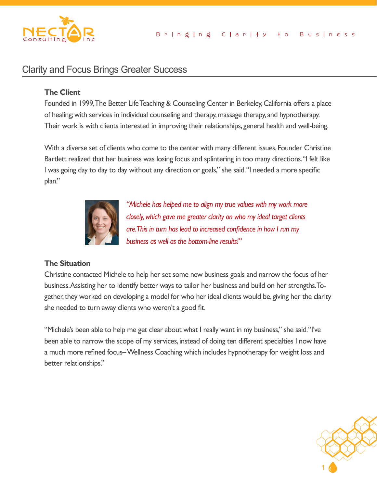

# Clarity and Focus Brings Greater Success

## **The Client**

Founded in 1999, The Better Life Teaching & Counseling Center in Berkeley, California offers a place of healing; with services in individual counseling and therapy, massage therapy, and hypnotherapy. Their work is with clients interested in improving their relationships, general health and well-being.

With a diverse set of clients who come to the center with many different issues, Founder Christine Bartlett realized that her business was losing focus and splintering in too many directions. "I felt like I was going day to day to day without any direction or goals," she said. "I needed a more specific plan."



*"Michele has helped me to align my true values with my work more closely, which gave me greater clarity on who my ideal target clients are. This in turn has lead to increased confidence in how I run my business as well as the bottom-line results!"*

### **The Situation**

Christine contacted Michele to help her set some new business goals and narrow the focus of her business. Assisting her to identify better ways to tailor her business and build on her strengths. Together, they worked on developing a model for who her ideal clients would be, giving her the clarity she needed to turn away clients who weren't a good fit.

"Michele's been able to help me get clear about what I really want in my business," she said. "I've been able to narrow the scope of my services, instead of doing ten different specialties I now have a much more refined focus– Wellness Coaching which includes hypnotherapy for weight loss and better relationships."